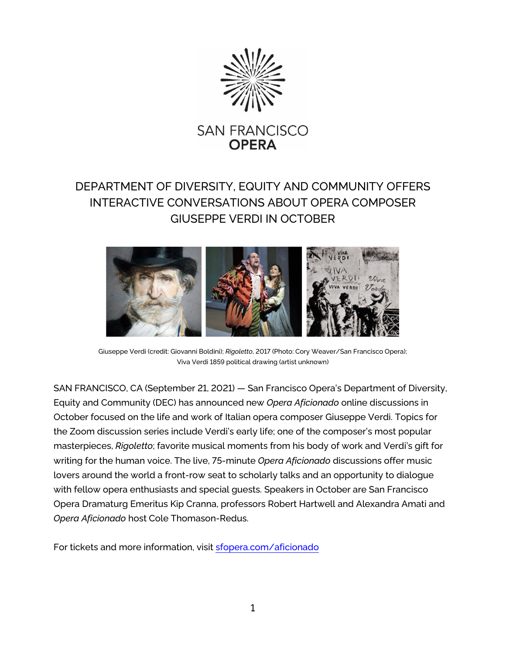

## DEPARTMENT OF DIVERSITY, EQUITY AND COMMUNITY OFFERS INTERACTIVE CONVERSATIONS ABOUT OPERA COMPOSER GIUSEPPE VERDI IN OCTOBER



Giuseppe Verdi (credit: Giovanni Boldini); *Rigoletto*, 2017 (Photo: Cory Weaver/San Francisco Opera); Viva Verdi 1859 political drawing (artist unknown)

SAN FRANCISCO, CA (September 21, 2021) — San Francisco Opera's Department of Diversity, Equity and Community (DEC) has announced new *Opera Aficionado* online discussions in October focused on the life and work of Italian opera composer Giuseppe Verdi. Topics for the Zoom discussion series include Verdi's early life; one of the composer's most popular masterpieces, *Rigoletto*; favorite musical moments from his body of work and Verdi's gift for writing for the human voice. The live, 75-minute *Opera Aficionado* discussions offer music lovers around the world a front-row seat to scholarly talks and an opportunity to dialogue with fellow opera enthusiasts and special guests. Speakers in October are San Francisco Opera Dramaturg Emeritus Kip Cranna, professors Robert Hartwell and Alexandra Amati and *Opera Aficionado* host Cole Thomason-Redus.

For tickets and more information, visit [sfopera.com/aficionado](https://www.sfopera.com/aficionado)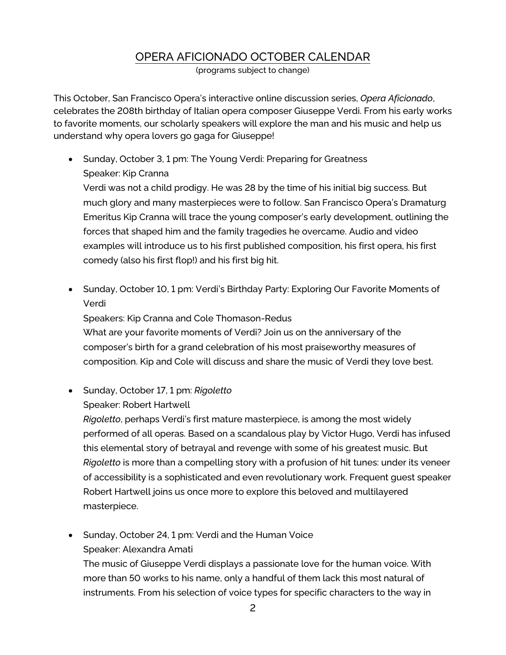## OPERA AFICIONADO OCTOBER CALENDAR

(programs subject to change)

This October, San Francisco Opera's interactive online discussion series, *Opera Aficionado*, celebrates the 208th birthday of Italian opera composer Giuseppe Verdi. From his early works to favorite moments, our scholarly speakers will explore the man and his music and help us understand why opera lovers go gaga for Giuseppe!

• Sunday, October 3, 1 pm: The Young Verdi: Preparing for Greatness Speaker: Kip Cranna

Verdi was not a child prodigy. He was 28 by the time of his initial big success. But much glory and many masterpieces were to follow. San Francisco Opera's Dramaturg Emeritus Kip Cranna will trace the young composer's early development, outlining the forces that shaped him and the family tragedies he overcame. Audio and video examples will introduce us to his first published composition, his first opera, his first comedy (also his first flop!) and his first big hit.

• Sunday, October 10, 1 pm: Verdi's Birthday Party: Exploring Our Favorite Moments of Verdi

Speakers: Kip Cranna and Cole Thomason-Redus What are your favorite moments of Verdi? Join us on the anniversary of the composer's birth for a grand celebration of his most praiseworthy measures of composition. Kip and Cole will discuss and share the music of Verdi they love best.

- Sunday, October 17, 1 pm: *Rigoletto*
	- Speaker: Robert Hartwell

*Rigoletto*, perhaps Verdi's first mature masterpiece, is among the most widely performed of all operas. Based on a scandalous play by Victor Hugo, Verdi has infused this elemental story of betrayal and revenge with some of his greatest music. But *Rigoletto* is more than a compelling story with a profusion of hit tunes: under its veneer of accessibility is a sophisticated and even revolutionary work. Frequent guest speaker Robert Hartwell joins us once more to explore this beloved and multilayered masterpiece.

• Sunday, October 24, 1 pm: Verdi and the Human Voice Speaker: Alexandra Amati

The music of Giuseppe Verdi displays a passionate love for the human voice. With more than 50 works to his name, only a handful of them lack this most natural of instruments. From his selection of voice types for specific characters to the way in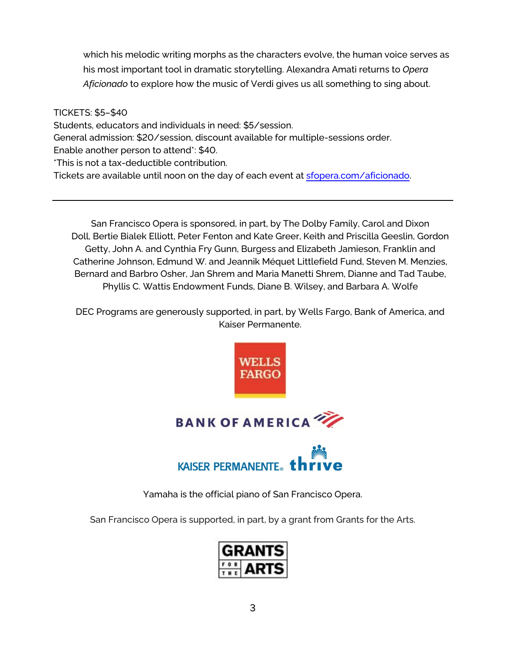which his melodic writing morphs as the characters evolve, the human voice serves as his most important tool in dramatic storytelling. Alexandra Amati returns to *Opera Aficionado* to explore how the music of Verdi gives us all something to sing about.

TICKETS: \$5–\$40

Students, educators and individuals in need: \$5/session.

General admission: \$20/session, discount available for multiple-sessions order.

Enable another person to attend\*: \$40.

\*This is not a tax-deductible contribution.

Tickets are available until noon on the day of each event at [sfopera.com/aficionado.](https://www.sfopera.com/aficionado)

San Francisco Opera is sponsored, in part, by The Dolby Family, Carol and Dixon Doll, Bertie Bialek Elliott, Peter Fenton and Kate Greer, Keith and Priscilla Geeslin, Gordon Getty, John A. and Cynthia Fry Gunn, Burgess and Elizabeth Jamieson, Franklin and Catherine Johnson, Edmund W. and Jeannik Méquet Littlefield Fund, Steven M. Menzies, Bernard and Barbro Osher, Jan Shrem and Maria Manetti Shrem, Dianne and Tad Taube, Phyllis C. Wattis Endowment Funds, Diane B. Wilsey, and Barbara A. Wolfe

DEC Programs are generously supported, in part, by Wells Fargo, Bank of America, and Kaiser Permanente.



Yamaha is the official piano of San Francisco Opera.

San Francisco Opera is supported, in part, by a grant from Grants for the Arts.